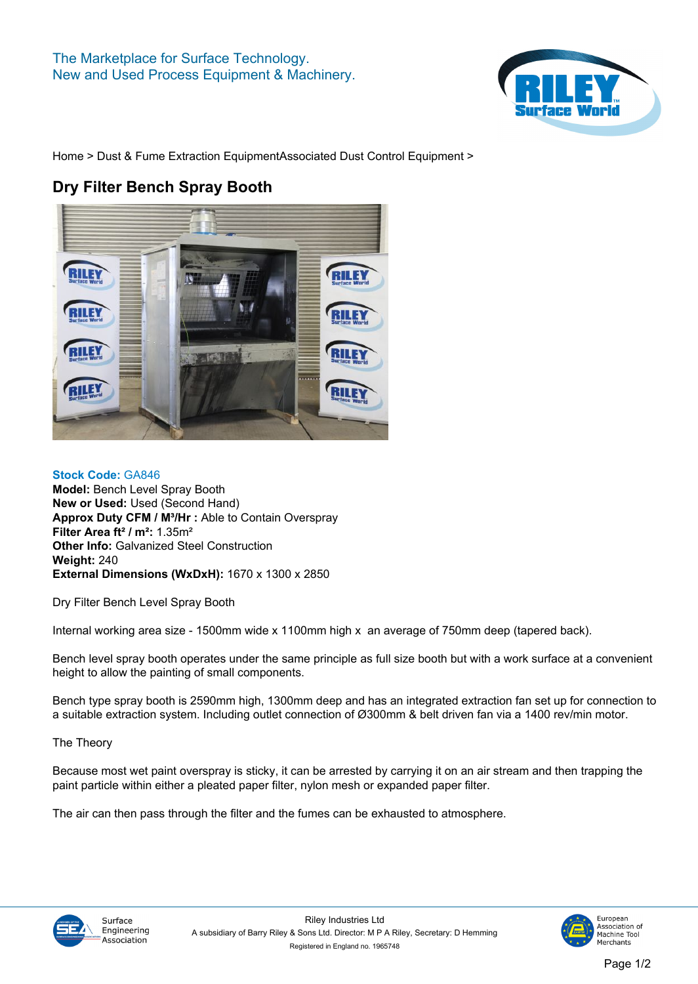

**[Home](https://www.rileysurfaceworld.co.uk) > [Dust & Fume Extraction Equipment](https://www.rileysurfaceworld.co.uk/dust-fume.asp)[Associated Dust Control Equipment](https://www.rileysurfaceworld.co.uk/dust-associated.asp) >**

## **Dry Filter Bench Spray Booth**



**Stock Code: GA846 Model: Bench Level Spray Booth New or Used: Used (Second Hand) Approx Duty CFM / M³/Hr : Able to Contain Overspray Filter Area ft² / m²: 1.35m² Other Info: Galvanized Steel Construction Weight: 240 External Dimensions (WxDxH): 1670 x 1300 x 2850**

**Dry Filter Bench Level Spray Booth**

**Internal working area size - 1500mm wide x 1100mm high x an average of 750mm deep (tapered back).**

**Bench level spray booth operates under the same principle as full size booth but with a work surface at a convenient height to allow the painting of small components.**

**Bench type spray booth is 2590mm high, 1300mm deep and has an integrated extraction fan set up for connection to a suitable extraction system. Including outlet connection of Ø300mm & belt driven fan via a 1400 rev/min motor.**

**The Theory**

**Because most wet paint overspray is sticky, it can be arrested by carrying it on an air stream and then trapping the paint particle within either a pleated paper filter, nylon mesh or expanded paper filter.**

**The air can then pass through the filter and the fumes can be exhausted to atmosphere.**